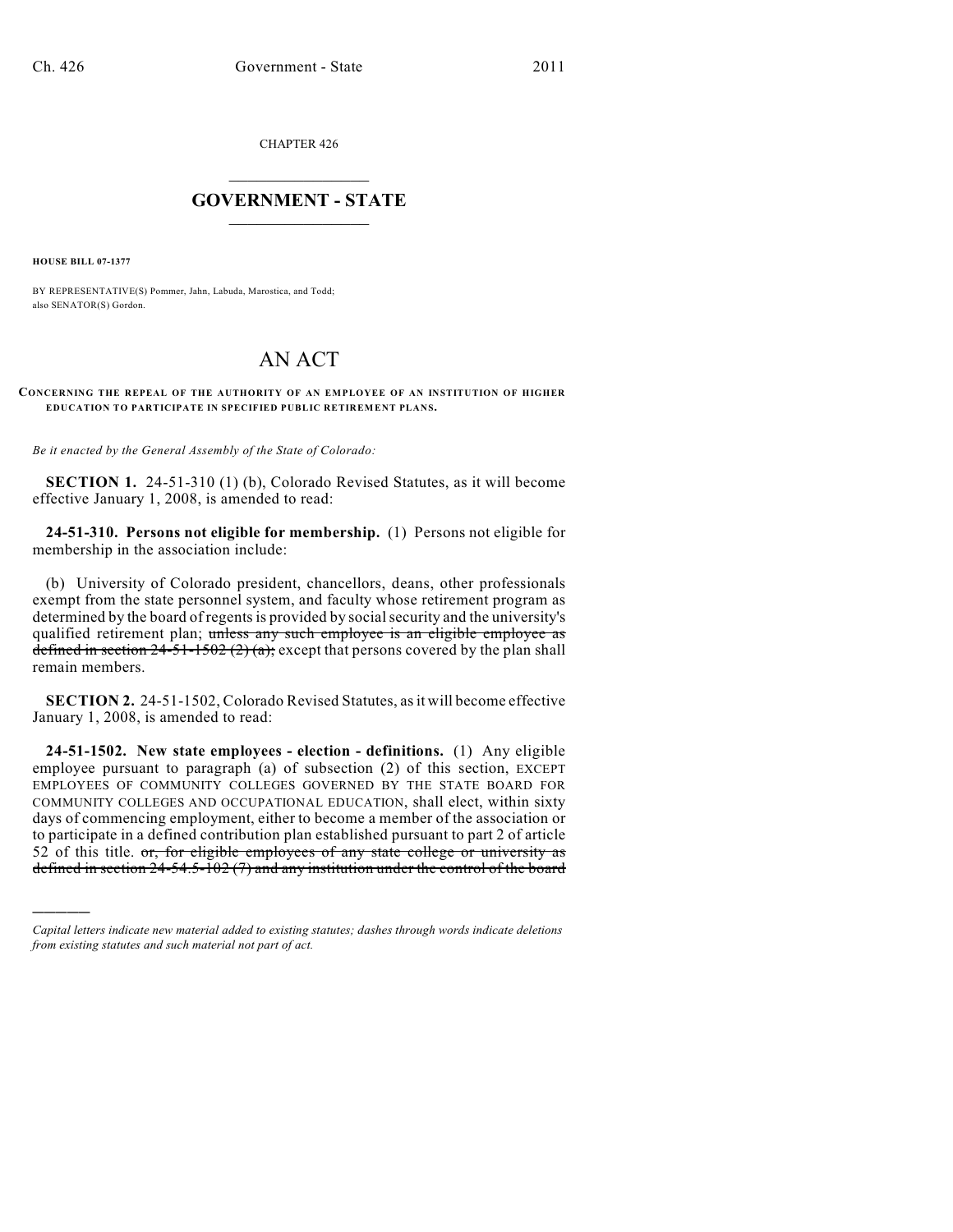CHAPTER 426

## $\mathcal{L}_\text{max}$  . The set of the set of the set of the set of the set of the set of the set of the set of the set of the set of the set of the set of the set of the set of the set of the set of the set of the set of the set **GOVERNMENT - STATE**  $\_$   $\_$   $\_$   $\_$   $\_$   $\_$   $\_$   $\_$

**HOUSE BILL 07-1377**

)))))

BY REPRESENTATIVE(S) Pommer, Jahn, Labuda, Marostica, and Todd; also SENATOR(S) Gordon.

## AN ACT

## **CONCERNING THE REPEAL OF THE AUTHORITY OF AN EMPLOYEE OF AN INSTITUTION OF HIGHER EDUCATION TO PARTICIPATE IN SPECIFIED PUBLIC RETIREMENT PLANS.**

*Be it enacted by the General Assembly of the State of Colorado:*

**SECTION 1.** 24-51-310 (1) (b), Colorado Revised Statutes, as it will become effective January 1, 2008, is amended to read:

**24-51-310. Persons not eligible for membership.** (1) Persons not eligible for membership in the association include:

(b) University of Colorado president, chancellors, deans, other professionals exempt from the state personnel system, and faculty whose retirement program as determined by the board of regents is provided by social security and the university's qualified retirement plan; unless any such employee is an eligible employee as defined in section  $24-51-1502(2)(a)$ ; except that persons covered by the plan shall remain members.

**SECTION 2.** 24-51-1502, Colorado Revised Statutes, as it will become effective January 1, 2008, is amended to read:

**24-51-1502. New state employees - election - definitions.** (1) Any eligible employee pursuant to paragraph (a) of subsection (2) of this section, EXCEPT EMPLOYEES OF COMMUNITY COLLEGES GOVERNED BY THE STATE BOARD FOR COMMUNITY COLLEGES AND OCCUPATIONAL EDUCATION, shall elect, within sixty days of commencing employment, either to become a member of the association or to participate in a defined contribution plan established pursuant to part 2 of article 52 of this title.  $or$ , for eligible employees of any state college or university as defined in section 24-54.5-102 (7) and any institution under the control of the board

*Capital letters indicate new material added to existing statutes; dashes through words indicate deletions from existing statutes and such material not part of act.*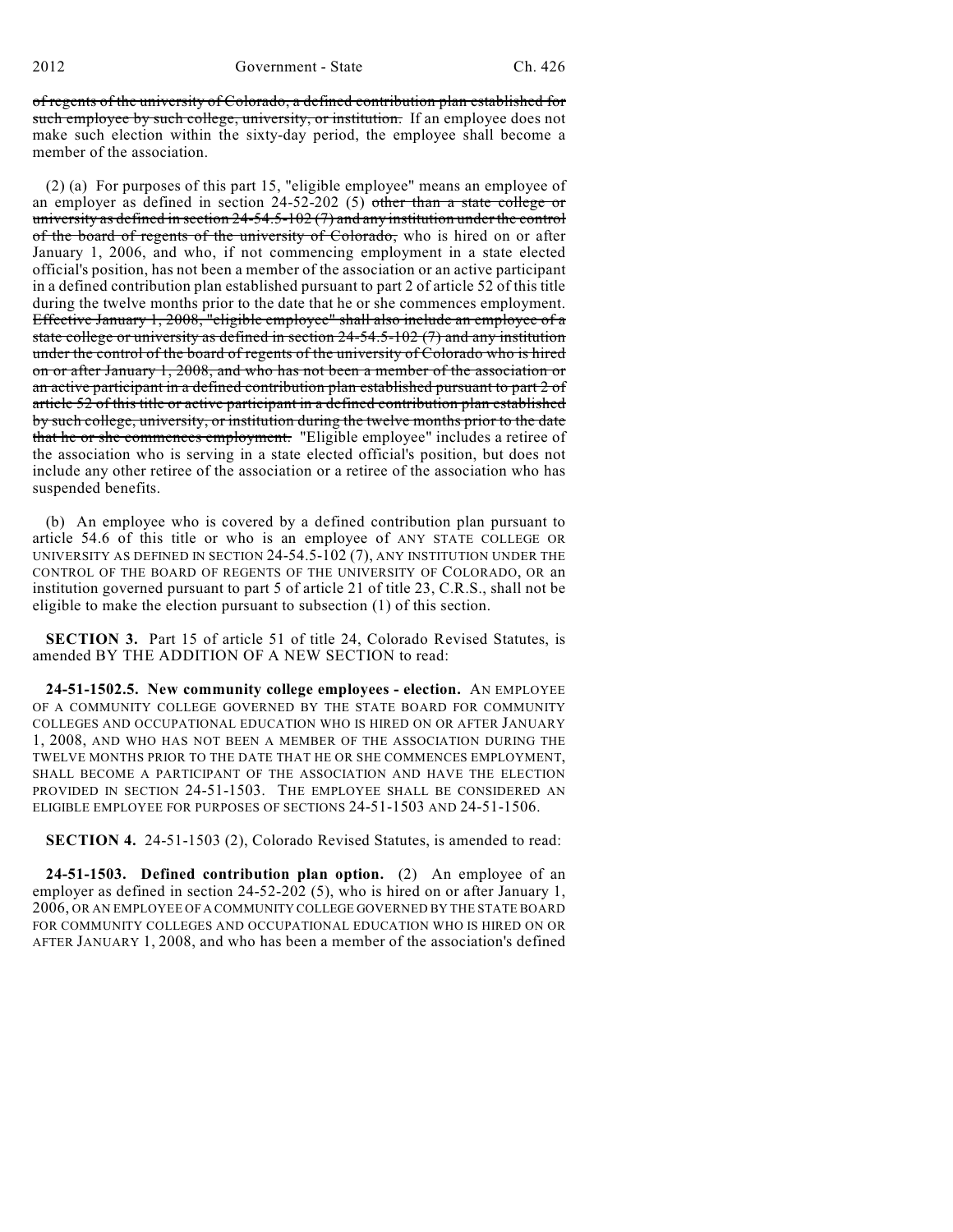of regents of the university of Colorado, a defined contribution plan established for such employee by such college, university, or institution. If an employee does not make such election within the sixty-day period, the employee shall become a member of the association.

(2) (a) For purposes of this part 15, "eligible employee" means an employee of an employer as defined in section 24-52-202 (5) other than a state college or university as defined in section 24-54.5-102 (7) and any institution under the control of the board of regents of the university of Colorado, who is hired on or after January 1, 2006, and who, if not commencing employment in a state elected official's position, has not been a member of the association or an active participant in a defined contribution plan established pursuant to part 2 of article 52 of this title during the twelve months prior to the date that he or she commences employment. Effective January 1, 2008, "eligible employee" shall also include an employee of a state college or university as defined in section 24-54.5-102 (7) and any institution under the control of the board of regents of the university of Colorado who is hired on or after January 1, 2008, and who has not been a member of the association or an active participant in a defined contribution plan established pursuant to part 2 of article 52 of this title or active participant in a defined contribution plan established by such college, university, or institution during the twelve months prior to the date that he or she commences employment. "Eligible employee" includes a retiree of the association who is serving in a state elected official's position, but does not include any other retiree of the association or a retiree of the association who has suspended benefits.

(b) An employee who is covered by a defined contribution plan pursuant to article 54.6 of this title or who is an employee of ANY STATE COLLEGE OR UNIVERSITY AS DEFINED IN SECTION  $24-54.5-102(7)$ , ANY INSTITUTION UNDER THE CONTROL OF THE BOARD OF REGENTS OF THE UNIVERSITY OF COLORADO, OR an institution governed pursuant to part 5 of article 21 of title 23, C.R.S., shall not be eligible to make the election pursuant to subsection (1) of this section.

**SECTION 3.** Part 15 of article 51 of title 24, Colorado Revised Statutes, is amended BY THE ADDITION OF A NEW SECTION to read:

**24-51-1502.5. New community college employees - election.** AN EMPLOYEE OF A COMMUNITY COLLEGE GOVERNED BY THE STATE BOARD FOR COMMUNITY COLLEGES AND OCCUPATIONAL EDUCATION WHO IS HIRED ON OR AFTER JANUARY 1, 2008, AND WHO HAS NOT BEEN A MEMBER OF THE ASSOCIATION DURING THE TWELVE MONTHS PRIOR TO THE DATE THAT HE OR SHE COMMENCES EMPLOYMENT, SHALL BECOME A PARTICIPANT OF THE ASSOCIATION AND HAVE THE ELECTION PROVIDED IN SECTION 24-51-1503. THE EMPLOYEE SHALL BE CONSIDERED AN ELIGIBLE EMPLOYEE FOR PURPOSES OF SECTIONS 24-51-1503 AND 24-51-1506.

**SECTION 4.** 24-51-1503 (2), Colorado Revised Statutes, is amended to read:

**24-51-1503. Defined contribution plan option.** (2) An employee of an employer as defined in section 24-52-202 (5), who is hired on or after January 1, 2006, OR AN EMPLOYEE OF A COMMUNITY COLLEGE GOVERNED BY THE STATE BOARD FOR COMMUNITY COLLEGES AND OCCUPATIONAL EDUCATION WHO IS HIRED ON OR AFTER JANUARY 1, 2008, and who has been a member of the association's defined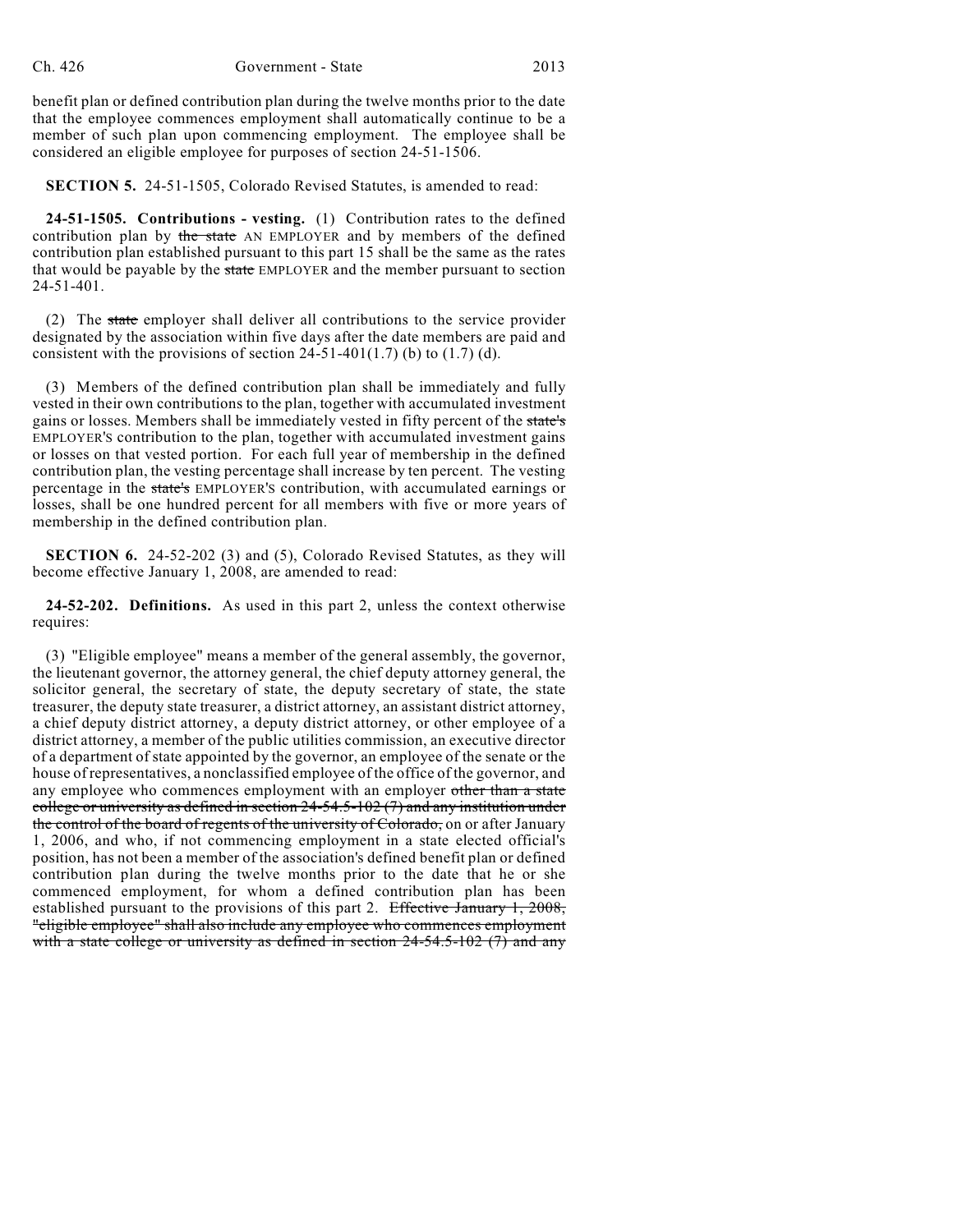benefit plan or defined contribution plan during the twelve months prior to the date that the employee commences employment shall automatically continue to be a member of such plan upon commencing employment. The employee shall be considered an eligible employee for purposes of section 24-51-1506.

**SECTION 5.** 24-51-1505, Colorado Revised Statutes, is amended to read:

**24-51-1505. Contributions - vesting.** (1) Contribution rates to the defined contribution plan by the state AN EMPLOYER and by members of the defined contribution plan established pursuant to this part 15 shall be the same as the rates that would be payable by the state EMPLOYER and the member pursuant to section 24-51-401.

(2) The state employer shall deliver all contributions to the service provider designated by the association within five days after the date members are paid and consistent with the provisions of section  $24-51-401(1.7)$  (b) to  $(1.7)$  (d).

(3) Members of the defined contribution plan shall be immediately and fully vested in their own contributions to the plan, together with accumulated investment gains or losses. Members shall be immediately vested in fifty percent of the state's EMPLOYER'S contribution to the plan, together with accumulated investment gains or losses on that vested portion. For each full year of membership in the defined contribution plan, the vesting percentage shall increase by ten percent. The vesting percentage in the state's EMPLOYER'S contribution, with accumulated earnings or losses, shall be one hundred percent for all members with five or more years of membership in the defined contribution plan.

**SECTION 6.** 24-52-202 (3) and (5), Colorado Revised Statutes, as they will become effective January 1, 2008, are amended to read:

**24-52-202. Definitions.** As used in this part 2, unless the context otherwise requires:

(3) "Eligible employee" means a member of the general assembly, the governor, the lieutenant governor, the attorney general, the chief deputy attorney general, the solicitor general, the secretary of state, the deputy secretary of state, the state treasurer, the deputy state treasurer, a district attorney, an assistant district attorney, a chief deputy district attorney, a deputy district attorney, or other employee of a district attorney, a member of the public utilities commission, an executive director of a department of state appointed by the governor, an employee of the senate or the house of representatives, a nonclassified employee of the office of the governor, and any employee who commences employment with an employer other than a state college or university as defined in section 24-54.5-102 (7) and any institution under the control of the board of regents of the university of Colorado, on or after January 1, 2006, and who, if not commencing employment in a state elected official's position, has not been a member of the association's defined benefit plan or defined contribution plan during the twelve months prior to the date that he or she commenced employment, for whom a defined contribution plan has been established pursuant to the provisions of this part 2. Effective January 1, 2008, "eligible employee" shall also include any employee who commences employment with a state college or university as defined in section  $24-54.5-102$  (7) and any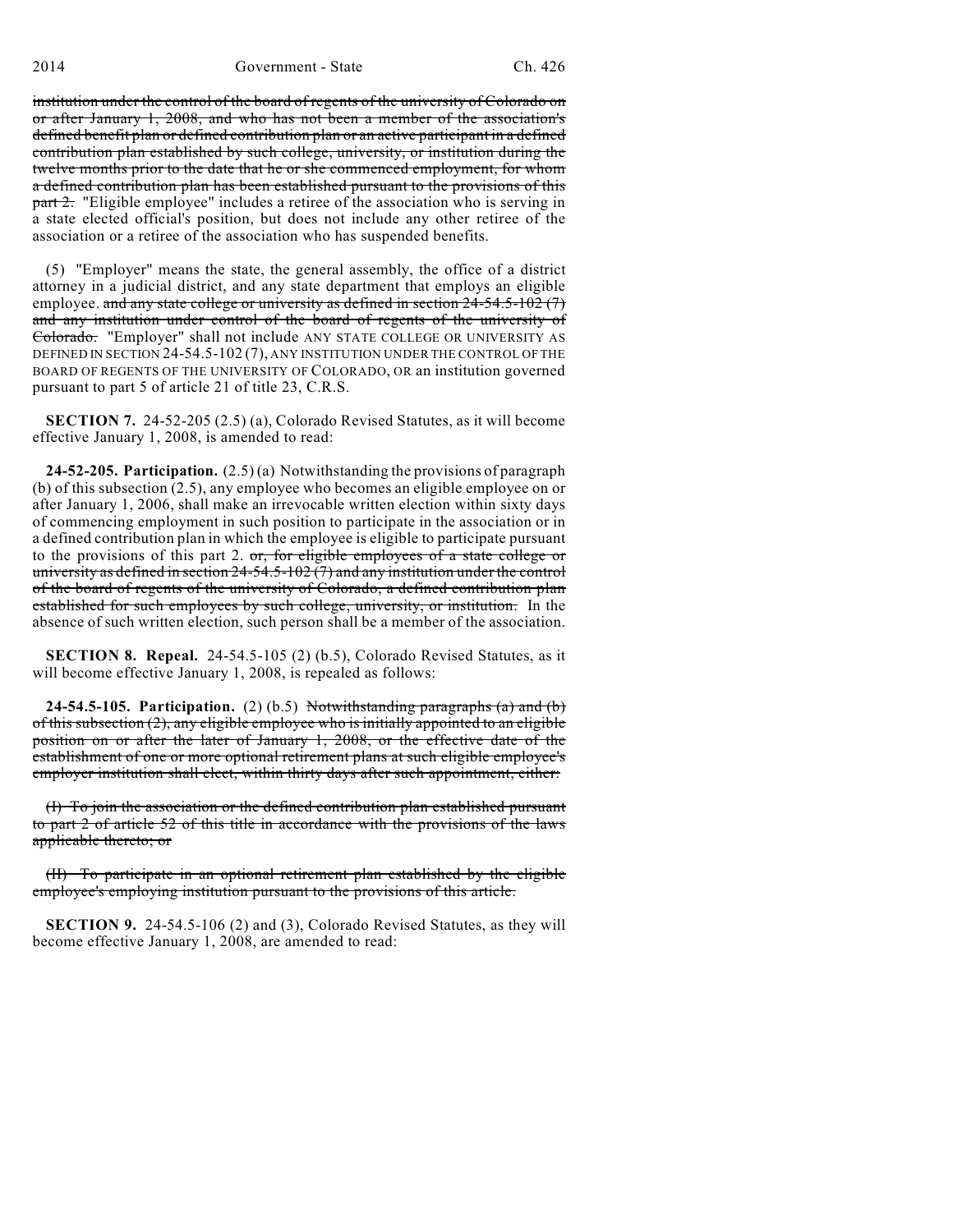institution under the control of the board of regents of the university of Colorado on or after January 1, 2008, and who has not been a member of the association's defined benefit plan or defined contribution plan or an active participant in a defined contribution plan established by such college, university, or institution during the twelve months prior to the date that he or she commenced employment, for whom a defined contribution plan has been established pursuant to the provisions of this **part 2.** "Eligible employee" includes a retiree of the association who is serving in a state elected official's position, but does not include any other retiree of the association or a retiree of the association who has suspended benefits.

(5) "Employer" means the state, the general assembly, the office of a district attorney in a judicial district, and any state department that employs an eligible employee. and any state college or university as defined in section  $24-54.5-102(7)$ and any institution under control of the board of regents of the university of Colorado. "Employer" shall not include ANY STATE COLLEGE OR UNIVERSITY AS DEFINED IN SECTION 24-54.5-102 (7), ANY INSTITUTION UNDER THE CONTROL OF THE BOARD OF REGENTS OF THE UNIVERSITY OF COLORADO, OR an institution governed pursuant to part 5 of article 21 of title 23, C.R.S.

**SECTION 7.** 24-52-205 (2.5) (a), Colorado Revised Statutes, as it will become effective January 1, 2008, is amended to read:

**24-52-205. Participation.** (2.5) (a) Notwithstanding the provisions of paragraph (b) of this subsection (2.5), any employee who becomes an eligible employee on or after January 1, 2006, shall make an irrevocable written election within sixty days of commencing employment in such position to participate in the association or in a defined contribution plan in which the employee is eligible to participate pursuant to the provisions of this part 2. or, for eligible employees of a state college or university as defined in section 24-54.5-102 (7) and any institution under the control of the board of regents of the university of Colorado, a defined contribution plan established for such employees by such college, university, or institution. In the absence of such written election, such person shall be a member of the association.

**SECTION 8. Repeal.** 24-54.5-105 (2) (b.5), Colorado Revised Statutes, as it will become effective January 1, 2008, is repealed as follows:

**24-54.5-105. Participation.** (2) (b.5) Notwithstanding paragraphs (a) and (b) of this subsection  $(2)$ , any eligible employee who is initially appointed to an eligible position on or after the later of January 1, 2008, or the effective date of the establishment of one or more optional retirement plans at such eligible employee's employer institution shall elect, within thirty days after such appointment, either:

(I) To join the association or the defined contribution plan established pursuant to part 2 of article 52 of this title in accordance with the provisions of the laws applicable thereto; or

(II) To participate in an optional retirement plan established by the eligible employee's employing institution pursuant to the provisions of this article.

**SECTION 9.** 24-54.5-106 (2) and (3), Colorado Revised Statutes, as they will become effective January 1, 2008, are amended to read: